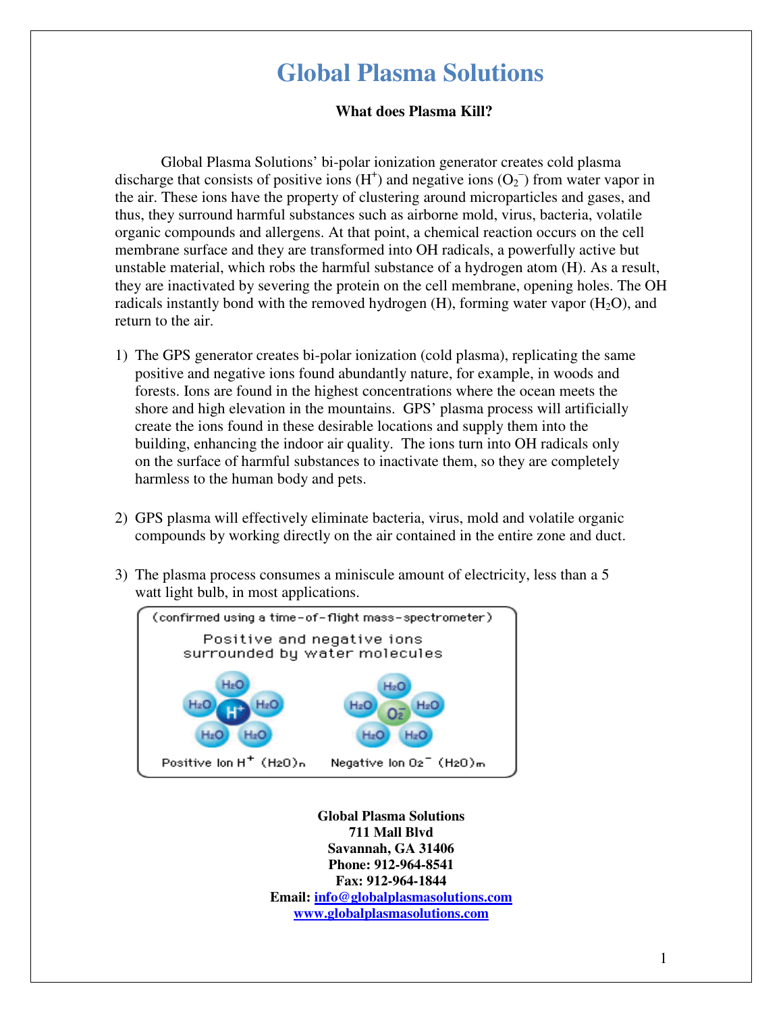# **Global Plasma Solutions**

## **What does Plasma Kill?**

Global Plasma Solutions' bi-polar ionization generator creates cold plasma discharge that consists of positive ions  $(H<sup>+</sup>)$  and negative ions  $(O<sub>2</sub><sup>-</sup>)$  from water vapor in the air. These ions have the property of clustering around microparticles and gases, and thus, they surround harmful substances such as airborne mold, virus, bacteria, volatile organic compounds and allergens. At that point, a chemical reaction occurs on the cell membrane surface and they are transformed into OH radicals, a powerfully active but unstable material, which robs the harmful substance of a hydrogen atom (H). As a result, they are inactivated by severing the protein on the cell membrane, opening holes. The OH radicals instantly bond with the removed hydrogen  $(H)$ , forming water vapor  $(H_2O)$ , and return to the air.

- 1) The GPS generator creates bi-polar ionization (cold plasma), replicating the same positive and negative ions found abundantly nature, for example, in woods and forests. Ions are found in the highest concentrations where the ocean meets the shore and high elevation in the mountains. GPS' plasma process will artificially create the ions found in these desirable locations and supply them into the building, enhancing the indoor air quality. The ions turn into OH radicals only on the surface of harmful substances to inactivate them, so they are completely harmless to the human body and pets.
- 2) GPS plasma will effectively eliminate bacteria, virus, mold and volatile organic compounds by working directly on the air contained in the entire zone and duct.
- 3) The plasma process consumes a miniscule amount of electricity, less than a 5 watt light bulb, in most applications.



**Global Plasma Solutions 711 Mall Blvd Savannah, GA 31406 Phone: 912-964-8541 Fax: 912-964-1844 Email: info@globalplasmasolutions.com www.globalplasmasolutions.com**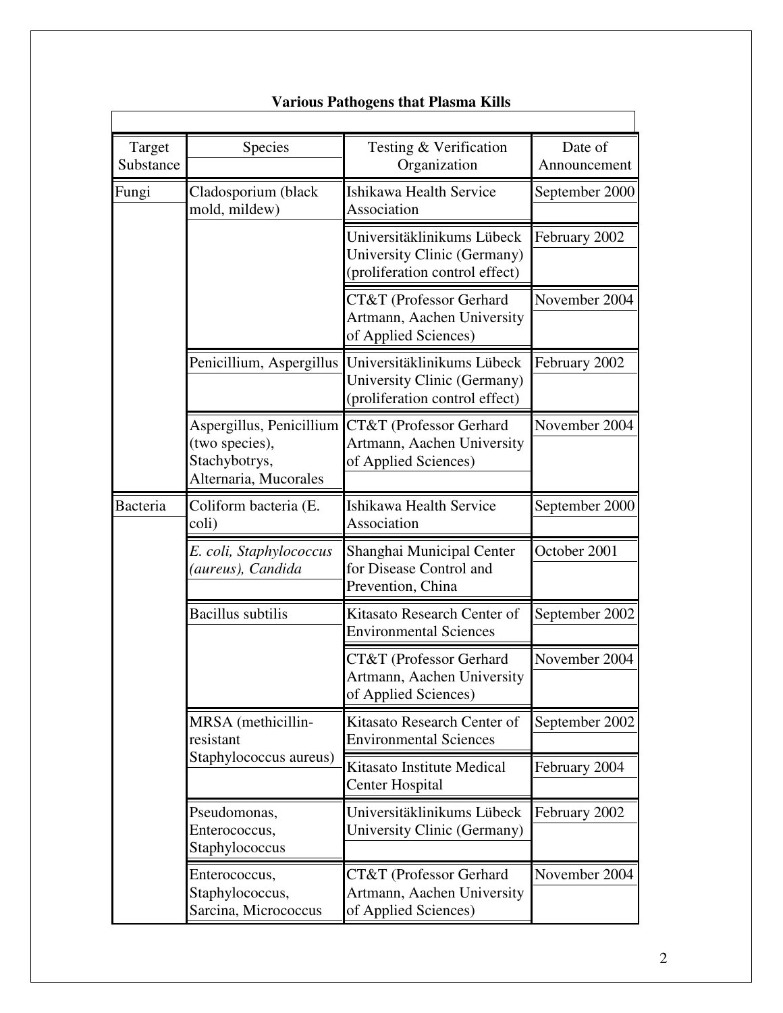| Target<br>Substance | Species                                                                              | Testing & Verification<br>Organization                                                      | Date of<br>Announcement |
|---------------------|--------------------------------------------------------------------------------------|---------------------------------------------------------------------------------------------|-------------------------|
| Fungi               | Cladosporium (black<br>mold, mildew)                                                 | Ishikawa Health Service<br>Association                                                      | September 2000          |
|                     |                                                                                      | Universitäklinikums Lübeck<br>University Clinic (Germany)<br>(proliferation control effect) | February 2002           |
|                     |                                                                                      | CT&T (Professor Gerhard<br>Artmann, Aachen University<br>of Applied Sciences)               | November 2004           |
|                     | Penicillium, Aspergillus                                                             | Universitäklinikums Lübeck<br>University Clinic (Germany)<br>(proliferation control effect) | February 2002           |
|                     | Aspergillus, Penicillium<br>(two species),<br>Stachybotrys,<br>Alternaria, Mucorales | CT&T (Professor Gerhard<br>Artmann, Aachen University<br>of Applied Sciences)               | November 2004           |
| Bacteria            | Coliform bacteria (E.<br>coli)                                                       | Ishikawa Health Service<br>Association                                                      | September 2000          |
|                     | E. coli, Staphylococcus<br>(aureus), Candida                                         | Shanghai Municipal Center<br>for Disease Control and<br>Prevention, China                   | October 2001            |
|                     | <b>Bacillus</b> subtilis                                                             | Kitasato Research Center of<br><b>Environmental Sciences</b>                                | September 2002          |
|                     |                                                                                      | CT&T (Professor Gerhard<br>Artmann, Aachen University<br>of Applied Sciences)               | November 2004           |
|                     | MRSA (methicillin-<br>resistant                                                      | Kitasato Research Center of<br><b>Environmental Sciences</b>                                | September 2002          |
|                     | Staphylococcus aureus)                                                               | Kitasato Institute Medical<br><b>Center Hospital</b>                                        | February 2004           |
|                     | Pseudomonas,<br>Enterococcus,<br>Staphylococcus                                      | Universitäklinikums Lübeck<br>University Clinic (Germany)                                   | February 2002           |
|                     | Enterococcus,<br>Staphylococcus,<br>Sarcina, Micrococcus                             | CT&T (Professor Gerhard<br>Artmann, Aachen University<br>of Applied Sciences)               | November 2004           |

# **Various Pathogens that Plasma Kills**

 $\Gamma$ 

 $\overline{\phantom{a}}$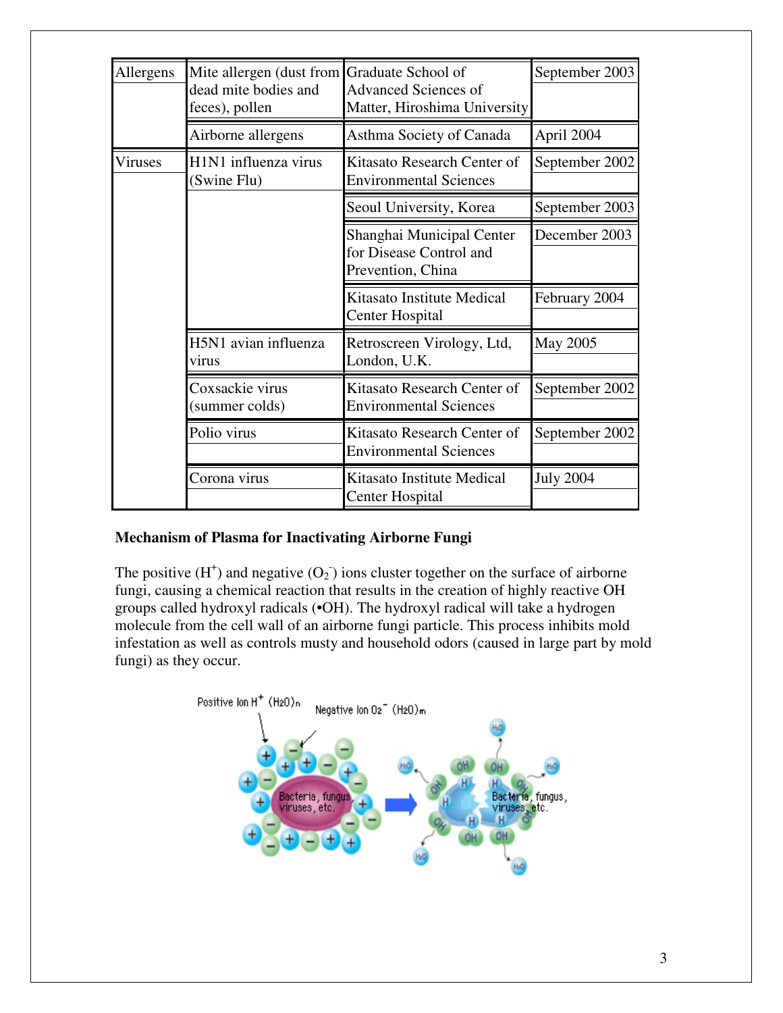| Allergens      | Mite allergen (dust from                      | Graduate School of            | September 2003   |
|----------------|-----------------------------------------------|-------------------------------|------------------|
|                | dead mite bodies and                          | <b>Advanced Sciences of</b>   |                  |
|                | feces), pollen                                | Matter, Hiroshima University  |                  |
|                | Airborne allergens                            | Asthma Society of Canada      | April 2004       |
| <b>Viruses</b> | H <sub>1</sub> N <sub>1</sub> influenza virus | Kitasato Research Center of   | September 2002   |
|                | (Swine Flu)                                   | <b>Environmental Sciences</b> |                  |
|                |                                               | Seoul University, Korea       | September 2003   |
|                |                                               | Shanghai Municipal Center     | December 2003    |
|                |                                               | for Disease Control and       |                  |
|                |                                               | Prevention, China             |                  |
|                |                                               | Kitasato Institute Medical    | February 2004    |
|                |                                               | <b>Center Hospital</b>        |                  |
|                | H5N1 avian influenza                          | Retroscreen Virology, Ltd,    | May 2005         |
|                | virus                                         | London, U.K.                  |                  |
|                | Coxsackie virus                               | Kitasato Research Center of   | September 2002   |
|                | (summer colds)                                | <b>Environmental Sciences</b> |                  |
|                | Polio virus                                   | Kitasato Research Center of   | September 2002   |
|                |                                               | <b>Environmental Sciences</b> |                  |
|                | Corona virus                                  | Kitasato Institute Medical    | <b>July 2004</b> |
|                |                                               | Center Hospital               |                  |

# **Mechanism of Plasma for Inactivating Airborne Fungi**

The positive  $(H^+)$  and negative  $(O_2)$  ions cluster together on the surface of airborne fungi, causing a chemical reaction that results in the creation of highly reactive OH groups called hydroxyl radicals (•OH). The hydroxyl radical will take a hydrogen molecule from the cell wall of an airborne fungi particle. This process inhibits mold infestation as well as controls musty and household odors (caused in large part by mold fungi) as they occur.

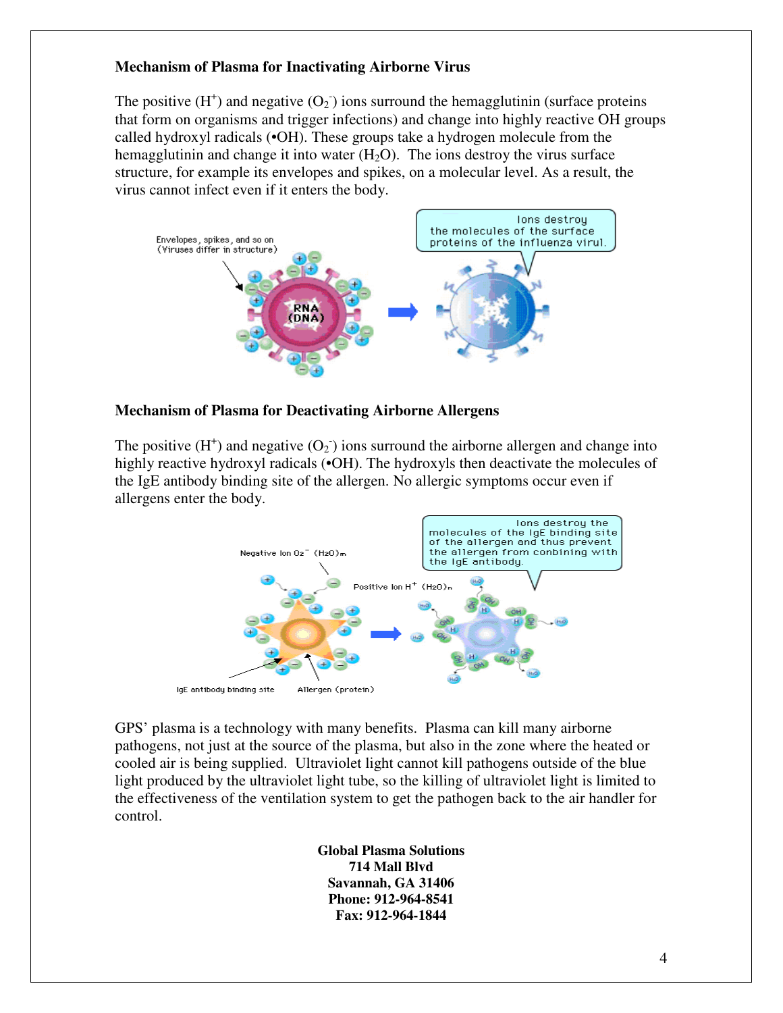# **Mechanism of Plasma for Inactivating Airborne Virus**

The positive  $(H^+)$  and negative  $(O_2^-)$  ions surround the hemagglutinin (surface proteins that form on organisms and trigger infections) and change into highly reactive OH groups called hydroxyl radicals (•OH). These groups take a hydrogen molecule from the hemagglutinin and change it into water  $(H_2O)$ . The ions destroy the virus surface structure, for example its envelopes and spikes, on a molecular level. As a result, the virus cannot infect even if it enters the body.



#### **Mechanism of Plasma for Deactivating Airborne Allergens**

The positive  $(H^+)$  and negative  $(O_2^-)$  ions surround the airborne allergen and change into highly reactive hydroxyl radicals ( $\bullet$ OH). The hydroxyls then deactivate the molecules of the IgE antibody binding site of the allergen. No allergic symptoms occur even if allergens enter the body.



GPS' plasma is a technology with many benefits. Plasma can kill many airborne pathogens, not just at the source of the plasma, but also in the zone where the heated or cooled air is being supplied. Ultraviolet light cannot kill pathogens outside of the blue light produced by the ultraviolet light tube, so the killing of ultraviolet light is limited to the effectiveness of the ventilation system to get the pathogen back to the air handler for control.

> **Global Plasma Solutions 714 Mall Blvd Savannah, GA 31406 Phone: 912-964-8541 Fax: 912-964-1844**